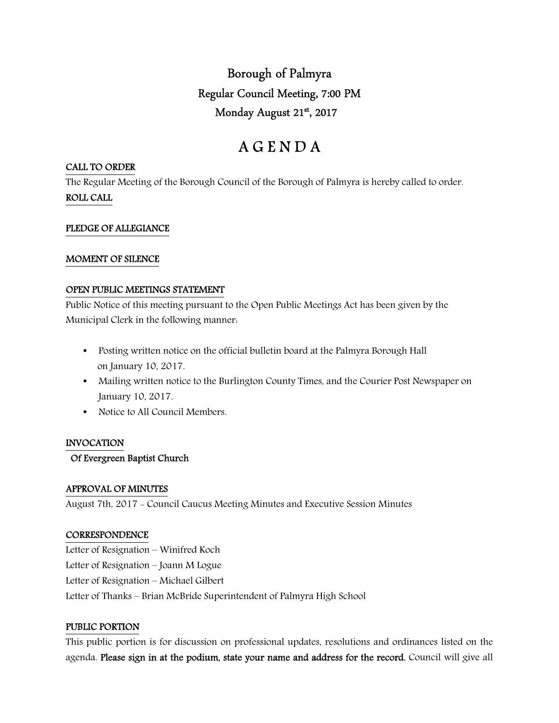## Borough of Palmyra Regular Council Meeting, 7:00 PM Monday August 21st, 2017

# A G E N D A

#### CALL TO ORDER

The Regular Meeting of the Borough Council of the Borough of Palmyra is hereby called to order. ROLL CALL

## PLEDGE OF ALLEGIANCE

## MOMENT OF SILENCE

## OPEN PUBLIC MEETINGS STATEMENT

Public Notice of this meeting pursuant to the Open Public Meetings Act has been given by the Municipal Clerk in the following manner:

- Posting written notice on the official bulletin board at the Palmyra Borough Hall on January 10, 2017.
- Mailing written notice to the Burlington County Times, and the Courier Post Newspaper on January 10, 2017.
- Notice to All Council Members.

## INVOCATION

## Of Evergreen Baptist Church

## APPROVAL OF MINUTES

August 7th, 2017 - Council Caucus Meeting Minutes and Executive Session Minutes

## **CORRESPONDENCE**

Letter of Resignation – Winifred Koch Letter of Resignation – Joann M Logue Letter of Resignation – Michael Gilbert Letter of Thanks – Brian McBride Superintendent of Palmyra High School

#### PUBLIC PORTION

This public portion is for discussion on professional updates, resolutions and ordinances listed on the agenda. Please sign in at the podium, state your name and address for the record. Council will give all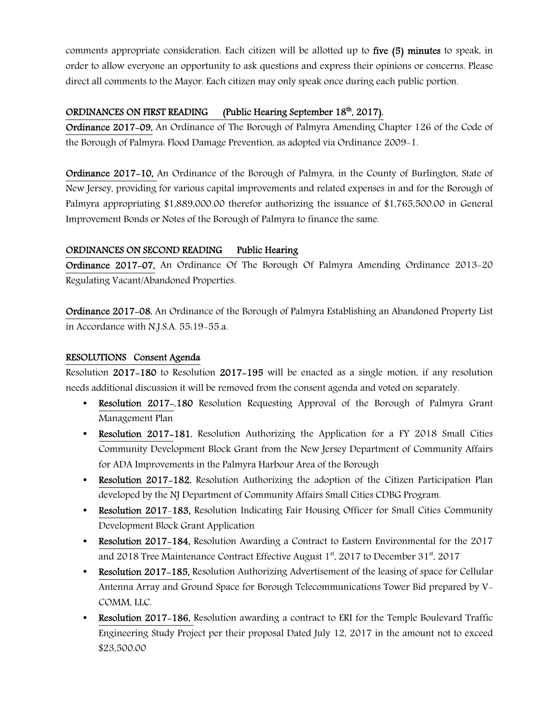comments appropriate consideration. Each citizen will be allotted up to five (5) minutes to speak, in order to allow everyone an opportunity to ask questions and express their opinions or concerns. Please direct all comments to the Mayor. Each citizen may only speak once during each public portion.

## ORDINANCES ON FIRST READING (Public Hearing September  $18<sup>th</sup>$ , 2017).

Ordinance 2017-09, An Ordinance of The Borough of Palmyra Amending Chapter 126 of the Code of the Borough of Palmyra: Flood Damage Prevention, as adopted via Ordinance 2009-1.

Ordinance 2017-10, An Ordinance of the Borough of Palmyra, in the County of Burlington, State of New Jersey, providing for various capital improvements and related expenses in and for the Borough of Palmyra appropriating \$1,889,000.00 therefor authorizing the issuance of \$1,765,500.00 in General Improvement Bonds or Notes of the Borough of Palmyra to finance the same.

## ORDINANCES ON SECOND READING Public Hearing

Ordinance 2017-07, An Ordinance Of The Borough Of Palmyra Amending Ordinance 2013-20 Regulating Vacant/Abandoned Properties.

Ordinance 2017-08, An Ordinance of the Borough of Palmyra Establishing an Abandoned Property List in Accordance with N.J.S.A. 55:19-55.a.

## RESOLUTIONS Consent Agenda

Resolution 2017-180 to Resolution 2017-195 will be enacted as a single motion, if any resolution needs additional discussion it will be removed from the consent agenda and voted on separately.

- Resolution 2017-,180 Resolution Requesting Approval of the Borough of Palmyra Grant Management Plan
- Resolution 2017–181, Resolution Authorizing the Application for a FY 2018 Small Cities Community Development Block Grant from the New Jersey Department of Community Affairs for ADA Improvements in the Palmyra Harbour Area of the Borough
- Resolution 2017–182, Resolution Authorizing the adoption of the Citizen Participation Plan developed by the NJ Department of Community Affairs Small Cities CDBG Program.
- Resolution 2017–183, Resolution Indicating Fair Housing Officer for Small Cities Community Development Block Grant Application
- Resolution 2017–184, Resolution Awarding a Contract to Eastern Environmental for the 2017 and 2018 Tree Maintenance Contract Effective August  $1<sup>st</sup>$ , 2017 to December 31<sup>st</sup>, 2017
- Resolution 2017–185, Resolution Authorizing Advertisement of the leasing of space for Cellular Antenna Array and Ground Space for Borough Telecommunications Tower Bid prepared by V-COMM, LLC.
- Resolution 2017-186, Resolution awarding a contract to ERI for the Temple Boulevard Traffic Engineering Study Project per their proposal Dated July 12, 2017 in the amount not to exceed \$23,500.00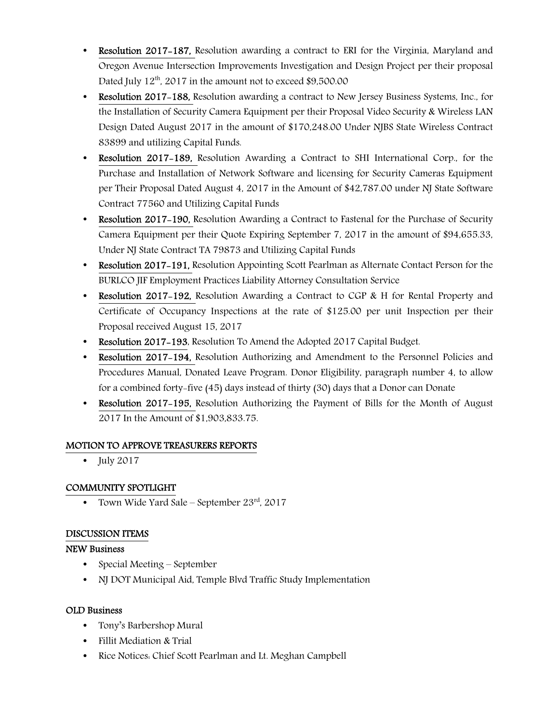- **Resolution 2017–187, Resolution awarding a contract to ERI for the Virginia, Maryland and** Oregon Avenue Intersection Improvements Investigation and Design Project per their proposal Dated July  $12<sup>th</sup>$ , 2017 in the amount not to exceed \$9,500.00
- Resolution 2017-188, Resolution awarding a contract to New Jersey Business Systems, Inc., for the Installation of Security Camera Equipment per their Proposal Video Security & Wireless LAN Design Dated August 2017 in the amount of \$170,248.00 Under NJBS State Wireless Contract 83899 and utilizing Capital Funds.
- Resolution 2017–189, Resolution Awarding a Contract to SHI International Corp., for the Purchase and Installation of Network Software and licensing for Security Cameras Equipment per Their Proposal Dated August 4, 2017 in the Amount of \$42,787.00 under NJ State Software Contract 77560 and Utilizing Capital Funds
- Resolution 2017–190, Resolution Awarding a Contract to Fastenal for the Purchase of Security Camera Equipment per their Quote Expiring September 7, 2017 in the amount of \$94,655.33, Under NJ State Contract TA 79873 and Utilizing Capital Funds
- Resolution 2017–191, Resolution Appointing Scott Pearlman as Alternate Contact Person for the BURLCO JIF Employment Practices Liability Attorney Consultation Service
- Resolution 2017–192, Resolution Awarding a Contract to CGP & H for Rental Property and Certificate of Occupancy Inspections at the rate of \$125.00 per unit Inspection per their Proposal received August 15, 2017
- Resolution 2017-193, Resolution To Amend the Adopted 2017 Capital Budget.
- Resolution 2017-194, Resolution Authorizing and Amendment to the Personnel Policies and Procedures Manual, Donated Leave Program. Donor Eligibility, paragraph number 4, to allow for a combined forty-five (45) days instead of thirty (30) days that a Donor can Donate
- Resolution 2017-195, Resolution Authorizing the Payment of Bills for the Month of August 2017 In the Amount of \$1,903,833.75.

## MOTION TO APPROVE TREASURERS REPORTS

• July  $2017$ 

## COMMUNITY SPOTLIGHT

• Town Wide Yard Sale – September  $23^{\text{rd}}$ , 2017

## DISCUSSION ITEMS

## NEW Business

- Special Meeting September
- NJ DOT Municipal Aid, Temple Blvd Traffic Study Implementation

## OLD Business

- Tony's Barbershop Mural
- Fillit Mediation & Trial
- Rice Notices: Chief Scott Pearlman and Lt. Meghan Campbell